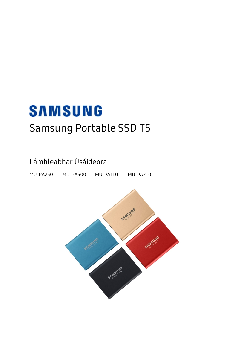# **SAMSUNG** Samsung Portable SSD T5

## Lámhleabhar Úsáideora

MU-PA250 MU-PA500 MU-PA1T0 MU-PA2T0

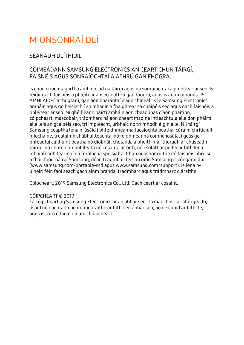# MIONSONRAÍ DI Í

#### SÉANADH DLÍTHIÚIL

#### COIMEÁDANN SAMSUNG ELECTRONICS AN CEART CHUN TÁIRGÍ, FAISNÉIS AGUS SONRAÍOCHTAÍ A ATHRÚ GAN FHÓGRA.

Is chun críoch tagartha amháin iad na táirgí agus na sonraíochtaí a phléitear anseo. Is féidir gach faisnéis a phléitear anseo a athrú gan fhógra, agus is ar an mbunús "IS AMHLAIDH" a thugtar í, gan aon bharántaí d'aon chineál. Is le Samsung Electronics amháin agus go heisiach í an mhaoin a fhaightear sa cháipéis seo agus gach faisnéis a phléitear anseo. Ní ghéilleann páirtí amháin aon cheadúnas d'aon phaitinn, cóipcheart, mascobair, trádmharc ná aon cheart maoine intleachtúla eile don pháirtí eile leis an gcáipéis seo, trí impleacht, urbhaic nó trí mhodh éigin eile. Níl táirgí Samsung ceaptha lena n-úsáid i bhfeidhmeanna tacaíochta beatha, cúraim chriticiúil, míochaine, trealaimh shábháilteachta, nó feidhmeanna comhchosúla, i gcás go bhféadfaí cailliúint beatha nó díobháil cholanda a bheith mar thoradh ar chliseadh táirge, nó i bhfeidhm mhíleata nó cosanta ar bith, nó i soláthar poiblí ar bith lena mbainfeadh téarmaí nó forálacha speisialta. Chun nuashonruithe nó faisnéis bhreise a fháil faoi tháirgí Samsung, déan teagmháil leis an oifig Samsung is cóngaraí duit [\(www.samsung.com/portable-ssd](http://www.samsung.com/portable-ssd) agus [www.samsung.com/support\)](http://www.samsung.com/support). Is lena núinéirí féin faoi seach gach ainm branda, trádmharc agus trádmharc cláraithe.

Cóipcheart, 2019 Samsung Electronics Co., Ltd. Gach ceart ar cosaint.

#### CÓIPCHEART © 2019

Tá cóipcheart ag Samsung Electronics ar an ábhar seo. Tá dianchosc ar atáirgeadh, úsáid nó nochtadh neamhúdaraithe ar bith den ábhar seo, nó de chuid ar bith de, agus is sárú é faoin dlí um chóipcheart.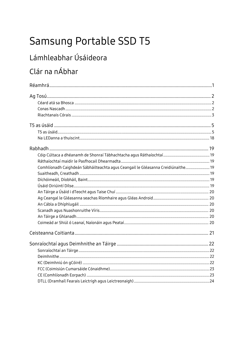# Samsung Portable SSD T5

## Lámhleabhar Úsáideora

## Clár na nÁbhar

| Comhlíonadh Caighdeán Sábháilteachta agus Ceangail le Gléasanna Creidiúnaithe 19 |  |
|----------------------------------------------------------------------------------|--|
|                                                                                  |  |
|                                                                                  |  |
|                                                                                  |  |
|                                                                                  |  |
|                                                                                  |  |
|                                                                                  |  |
|                                                                                  |  |
|                                                                                  |  |
|                                                                                  |  |
|                                                                                  |  |
|                                                                                  |  |
|                                                                                  |  |
|                                                                                  |  |
|                                                                                  |  |
|                                                                                  |  |
|                                                                                  |  |
|                                                                                  |  |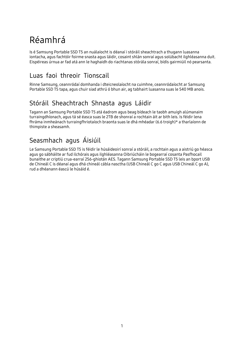## <span id="page-3-0"></span>Réamhrá

Is é Samsung Portable SSD T5 an nuálaíocht is déanaí i stóráil sheachtrach a thugann luasanna iontacha, agus fachtóir foirme snasta agus láidir, cosaint shlán sonraí agus solúbacht ilghléasanna duit. Eispéireas úrnua ar fad atá ann le haghaidh do riachtanas stórála sonraí, bídís gairmiúil nó pearsanta.

#### Luas faoi threoir Tionscail

Rinne Samsung, ceannródaí domhanda i dteicneolaíocht na cuimhne, ceannródaíocht ar Samsung Portable SSD T5 tapa, agus chuir siad athrú ó bhun air, ag tabhairt luasanna suas le 540 MB anois.

### Stóráil Sheachtrach Shnasta agus Láidir

Tagann an Samsung Portable SSD T5 atá éadrom agus beag bídeach le taobh amuigh alúmanaim turraingdhíonach, agus tá sé éasca suas le 2TB de shonraí a rochtain áit ar bith leis. Is féidir lena fhráma inmheánach turraingfhriotaíoch braonta suas le dhá mhéadar (6.6 troigh)\* a tharlaíonn de thimpiste a sheasamh.

### Seasmhach agus Áisiúil

Le Samsung Portable SSD T5 is féidir le húsáideoirí sonraí a stóráil, a rochtain agus a aistriú go héasca agus go sábháilte ar fud ilchórais agus ilghléasanna Oibriúcháin le bogearraí cosanta Pasfhocail bunaithe ar criptiú crua-earraí 256-ghiotán AES. Tagann Samsung Portable SSD T5 leis an bport USB de Chineál C is déanaí agus dhá chineál cábla nasctha (USB Chineál C go C agus USB Chineál C go A), rud a dhéanann éascú le húsáid é.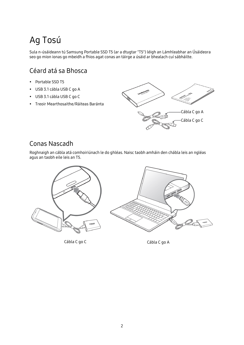## <span id="page-4-0"></span>Ag Tosú

Sula n-úsáideann tú Samsung Portable SSD T5 (ar a dtugtar "T5") léigh an Lámhleabhar an Úsáideora seo go mion ionas go mbeidh a fhios agat conas an táirge a úsáid ar bhealach cuí sábháilte.

### <span id="page-4-1"></span>Céard atá sa Bhosca

- Portable SSD T5
- USB 3.1 cábla USB C go A
- USB 3.1 cábla USB C go C
- Treoir Mearthosaithe/Ráiteas Baránta



#### <span id="page-4-2"></span>Conas Nascadh

Roghnaigh an cábla atá comhoiriúnach le do ghléas. Naisc taobh amháin den chábla leis an ngléas agus an taobh eile leis an T5.



Cábla C go C Cabla C go A

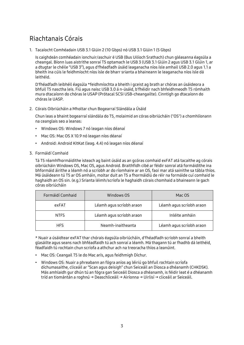#### <span id="page-5-0"></span>Riachtanais Córais

1. Tacaíocht Comhéadain USB 3.1 Glúin 2 (10 Gbps) nó USB 3.1 Glúin 1 (5 Gbps)

Is caighdeán comhéadain ionchuir/aschuir é USB (Bus Uilíoch Srathach) chun gléasanna éagsúla a cheangal. Bíonn luas aistrithe sonraí T5 optamach le USB 3 (USB 3.1 Glúin 2 agus USB 3.1 Glúin 1, ar a dtugtar le chéile "USB 3"), agus d'fhéadfadh úsáid leaganacha níos ísle amhail USB 2.0 agus 1.1 a bheith ina cúis le feidhmíocht níos ísle de bharr srianta a bhaineann le leaganacha níos ísle dá leithéid.

D'fhéadfadh leibhéil éagsúla \*feidhmíochta a bheith i gceist ag brath ar chóras an úsáideora a bhfuil T5 nasctha leis. Fiú agus naisc USB 3.0 á n-úsáid, b'fhéidir nach bhfeidhmeodh T5 rómhaith mura dtacaíonn do chóras le USAP (Prótacal SCSI USB-cheangailte). Cinntigh go dtacaíonn do chóras le UASP.

2. Córais Oibriúcháin a Mholtar chun Bogearraí Slándála a Úsáid

Chun leas a bhaint bogearraí slándála do T5, molaimid an córas oibriúcháin ("OS") a chomhlíonann na ceanglais seo a leanas:

- Windows OS: Windows 7 nó leagan níos déanaí
- Mac OS: Mac OS X 10.9 nó leagan níos déanaí
- Android: Android KitKat (leag. 4.4) nó leagan níos déanaí
- 3. Formáidí Comhaid

Tá T5 réamhfhormáidithe isteach ag baint úsáid as an gcóras comhaid exFAT atá tacaithe ag córais oibriúcháin Windows OS, Mac OS, agus Android. Braithfidh cibé ar féidir sonraí atá formáidithe ina bhformáid áirithe a léamh nó a scríobh ar do ríomhaire ar an OS, faoi mar atá sainithe sa tábla thíos. Má úsáideann tú T5 ar OS amháin, moltar duit an T5 a fhormáidiú de réir na formáide cuí comhaid le haghaidh an OS sin. (e.g.) Srianta léimh/scríofa le haghaidh córais chomhaid a bhaineann le gach córas oibriúcháin

| Formáidí Comhaid | Windows OS               | Mac OS                   |
|------------------|--------------------------|--------------------------|
| exFAT            | Léamh agus scríobh araon | Léamh agus scríobh araon |
| <b>NTFS</b>      | Léamh agus scríobh araon | Inléite amháin           |
| <b>HFS</b>       | Neamh-inaitheanta        | Léamh agus scríobh araon |

\* Nuair a úsáidtear exFAT thar chórais éagsúla oibriúcháin, d'fhéadfadh scríobh sonraí a bheith glasáilte agus seans nach bhféadfaidh tú ach sonraí a léamh. Má thagann tú ar fhadhb dá leithéid, féadfaidh tú rochtain chun scríofa a athchur ach na treoracha thíos a leanúint.

- Mac OS: Ceangail T5 le do Mac arís, agus feidhmigh Díchur.
- Windows OS: Nuair a phreabann an fógra aníos ag léiriú go bhfuil rochtain scríofa díchumasaithe, cliceáil ar "Scan agus deisigh" chun Seiceáil an Diosca a dhéanamh (CHKDSK). Más amhlaidh gur dhún tú an fógra gan Seiceáil Diosca a dhéanamh, is féidir leat é a dhéanamh tríd an tiomántán a roghnú → Deaschliceáil → Airíonna → Uirlisí → cliceáil ar Seiceáil.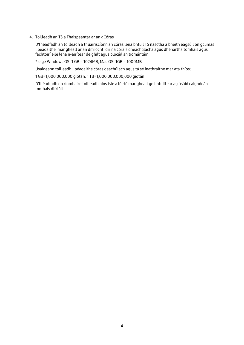4. Toilleadh an T5 a Thaispeántar ar an gCóras

D'fhéadfadh an toilleadh a thuairiscíonn an córas lena bhfuil T5 nasctha a bheith éagsúil ón gcumas lipéadaithe, mar gheall ar an difríocht idir na córais dheachúlacha agus dhénártha tomhais agus fachtóirí eile lena n-áirítear deighilt agus blocáil an tiomántáin.

\* e.g.: Windows OS: 1 GB = 1024MB, Mac OS: 1GB = 1000MB

Úsáideann toilleadh lipéadaithe córas deachúlach agus tá sé inathraithe mar atá thíos:

1 GB=1,000,000,000 giotán, 1 TB=1,000,000,000,000 giotán

D'fhéadfadh do ríomhaire toilleadh níos ísle a léiriú mar gheall go bhfuiltear ag úsáid caighdeán tomhais difriúil.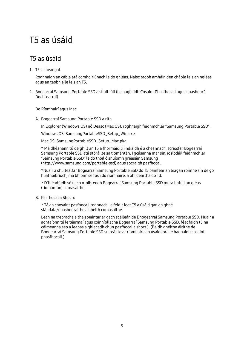## <span id="page-7-0"></span>T5 as úsáid

#### <span id="page-7-1"></span>T5 as úsáid

1. T5 a cheangal

Roghnaigh an cábla atá comhoiriúnach le do ghléas. Naisc taobh amháin den chábla leis an ngléas agus an taobh eile leis an T5.

2. Bogearraí Samsung Portable SSD a shuiteáil (Le haghaidh Cosaint Phasfhocail agus nuashonrú Dochtearraí)

Do Ríomhairí agus Mac

A. Bogearraí Samsung Portable SSD a rith

In Explorer (Windows OS) nó Deasc (Mac OS), roghnaigh feidhmchlár "Samsung Portable SSD".

Windows OS: SamsungPortableSSD\_Setup\_Win.exe

Mac OS: SamsungPortableSSD\_Setup\_Mac.pkg

\* Má dhéanann tú deighilt an T5 a fhormáidiú i ndiaidh é a cheannach, scriosfar Bogearraí Samsung Portable SSD atá stóráilte sa tiomántán. I gcásanna mar sin, íoslódáil feidhmchlár "Samsung Portable SSD" le do thoil ó shuíomh gréasáin Samsung (http://www.samsung.com/portable-ssd) agus socraigh pasfhocal.

\*Nuair a shuiteálfar Bogearraí Samsung Portable SSD do T5 bainfear an leagan roimhe sin de go huathoibríoch, má bhíonn sé fós i do ríomhaire, a bhí deartha do T3.

\* D'fhéadfadh sé nach n-oibreodh Bogearraí Samsung Portable SSD mura bhfuil an gléas (tiomántán) cumasaithe.

B. Pasfhocal a Shocrú

\* Tá an chosaint pasfhocail roghnach. Is féidir leat T5 a úsáid gan an ghné slándála/nuashonraithe a bheith cumasaithe.

Lean na treoracha a thaispeántar ar gach scáileán de Bhogearraí Samsung Portable SSD. Nuair a aontaíonn tú le téarmaí agus coinníollacha Bogearraí Samsung Portable SSD, féadfaidh tú na céimeanna seo a leanas a ghlacadh chun pasfhocal a shocrú. (Beidh gnéithe áirithe de Bhogearraí Samsung Portable SSD suiteáilte ar ríomhaire an úsáideora le haghaidh cosaint phasfhocail.)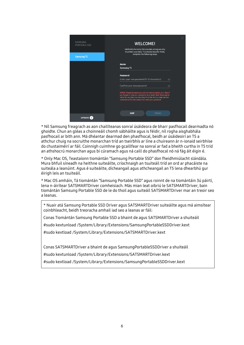| SAMSUNG<br><b>PORTABLE SSD</b> | <b>WELCOME!</b><br>SAMSUNG Portable SSD provides strong security<br>to protect your data. To activate Security Mode,<br>complete the following steps.                                                                                                           |  |
|--------------------------------|-----------------------------------------------------------------------------------------------------------------------------------------------------------------------------------------------------------------------------------------------------------------|--|
| <b>Samsung T5</b>              |                                                                                                                                                                                                                                                                 |  |
|                                | <b>Name</b><br>Samsung T5                                                                                                                                                                                                                                       |  |
|                                | Password<br>Enter your new password (4-16 characters)<br>$\odot$                                                                                                                                                                                                |  |
|                                | Confirm your new password<br>$\odot$                                                                                                                                                                                                                            |  |
|                                | NOTICE: Please be aware you will not have access to your data if<br>you forget or lose your password. In no event shall Samsung be<br>liable for any data loss resulting from the factory reset service<br>rendered as the sole measure to reset your password. |  |
|                                | <b>FINISH</b><br><b>SKIP</b>                                                                                                                                                                                                                                    |  |
| <b>UPDATE</b>                  |                                                                                                                                                                                                                                                                 |  |

\* Níl Samsung freagrach as aon chaillteanas sonraí úsáideora de bharr pasfhocail dearmadta nó ghoidte. Chun an gléas a choinneáil chomh sábháilte agus is féidir, níl rogha aisghabhála pasfhocail ar bith ann. Má dhéantar dearmad den phasfhocal, beidh ar úsáideoirí an T5 a athchur chuig na socruithe monarchan tríd an tseirbhís ar líne a chuireann ár n-ionaid seirbhíse do chustaiméirí ar fáil. Coinnigh cuimhne go gcaillfear na sonraí ar fad a bheith curtha in T5 tríd an athshocrú monarchan agus bí cúramach agus ná caill do phasfhocal nó ná fág áit éigin é.

\* Only Mac OS, Teastaíonn tiomántán "Samsung Portable SSD" don fheidhmiúlacht slándála. Mura bhfuil síneadh na heithne suiteáilte, críochnaigh an tsuiteáil tríd an ord ar phacáiste na suiteála a leanúint. Agus é suiteáilte, dícheangail agus athcheangail an T5 lena dhearbhú gur éirigh leis an tsuiteáil.

\* Mac OS amháin, Tá tiomántán "Samsung Portable SSD" agus roinnt de na tiomántáin 3ú páirtí, lena n-áirítear SATSMARTDriver comheisiach. Más mian leat oibriú le SATSMARTDriver, bain tiomántán Samsung Portable SSD de le do thoil agus suiteáil SATSMARTDriver mar an treoir seo a leanas.

\* Nuair atá Samsung Portable SSD Driver agus SATSMARTDriver suiteáilte agus má aimsítear coinbhleacht, beidh treoracha amhail iad seo a leanas ar fáil:

Conas Tiomántán Samsung Portable SSD a bhaint de agus SATSMARTDriver a shuiteáil

#sudo kextunload /System/Library/Extensions/SamsungPortableSSDDriver.kext

#sudo kextload /System/Library/Extensions/SATSMARTDriver.kext

Conas SATSMARTDriver a bhaint de agus SamsungPortableSSDDriver a shuiteáil

#sudo kextunload /System/Library/Extensions/SATSMARTDriver.kext

#sudo kextload /System/Library/Extensions/SamsungPortableSSDDriver.kext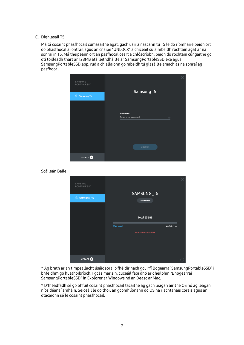#### C. Díghlasáil T5

Má tá cosaint phasfhocail cumasaithe agat, gach uair a nascann tú T5 le do ríomhaire beidh ort do phasfhocal a iontráil agus an cnaipe "UNLOCK" a chiceáil sula mbeidh rochtain agat ar na sonraí in T5. Má theipeann ort an pasfhocal ceart a chlóscríobh, beidh do rochtain cúngaithe go dtí toilleadh thart ar 128MB atá leithdháilte ar SamsungPortableSSD.exe agus SamsungPortableSSD.app, rud a chiallaíonn go mbeidh tú glasáilte amach as na sonraí ag pasfhocal.



Scáileán Baile

| SAMSUNG<br><b>PORTABLE SSD</b> |                 | SAMSUNG_T5                |            |  |
|--------------------------------|-----------------|---------------------------|------------|--|
| G SAMSUNG_T5                   |                 | <b>SETTINGS</b>           |            |  |
|                                |                 |                           |            |  |
|                                |                 | Total 232GB               |            |  |
|                                | <b>OGB Used</b> |                           | 232GB Free |  |
|                                |                 | Security Mode is Enabled. |            |  |
|                                |                 |                           |            |  |
|                                |                 |                           |            |  |
|                                |                 |                           |            |  |
| <b>UPDATE</b> <sup>2</sup>     |                 |                           |            |  |

\* Ag brath ar an timpeallacht úsáideora, b'fhéidir nach gcuirfí Bogearraí SamsungPortableSSD" i bhfeidhm go huathoibríoch. I gcás mar sin, cliceáil faoi dhó ar dheilbhín "Bhogearraí SamsungPortableSSD" in Explorer ar Windows nó an Deasc ar Mac.

\* D'fhéadfadh sé go bhfuil cosaint phasfhocail tacaithe ag gach leagan áirithe OS nó ag leagan níos déanaí amháin. Seiceáil le do thoil an gcomhlíonann do OS na riachtanais córais agus an dtacaíonn sé le cosaint phasfhocail.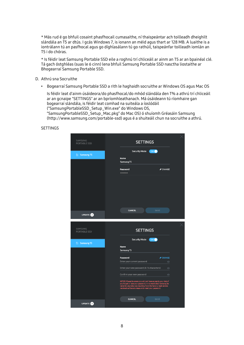\* Más rud é go bhfuil cosaint phasfhocail cumasaithe, ní thaispeántar ach toilleadh dheighilt slándála an T5 ar dtús. I gcás Windows 7, is ionann an méid agus thart ar 128 MB. A luaithe is a iontrálann tú an pasfhocal agus go díghlasálann tú go rathúil, taispeánfar toilleadh iomlán an T5 i do chóras.

\* Is féidir leat Samsung Portable SSD eile a roghnú trí chliceáil ar ainm an T5 ar an bpainéal clé. Tá gach óstghléas (suas le 6 cinn) lena bhfuil Samsung Portable SSD nasctha liostaithe ar Bhogearraí Samsung Portable SSD.

- D. Athrú sna Socruithe
	- Bogearraí Samsung Portable SSD a rith le haghaidh socruithe ar Windows OS agus Mac OS

Is féidir leat d'ainm úsáideora/do phasfhocal/do mhód slándála den T% a athrú trí chliceáil ar an gcnaipe "SETTINGS" ar an bpríomhleathanach. Má úsáideann tú ríomhaire gan bogearraí slándála, is féidir leat comhad na suiteála a íoslódáil ("SamsungPortableSSD\_Setup\_Win.exe" do Windows OS, "SamsungPortableSSD\_Setup\_Mac.pkg" do Mac OS) ó shuíomh Gréasáin Samsung (http://www.samsung.com/portable-ssd) agus é a shuiteáil chun na socruithe a athrú.

**SETTINGS** 

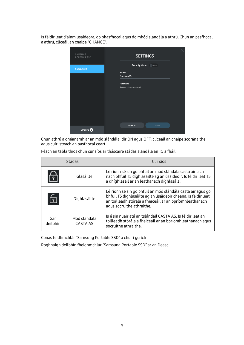Is féidir leat d'ainm úsáideora, do phasfhocal agus do mhód slándála a athrú. Chun an pasfhocal a athrú, cliceáil an cnaipe "CHANGE".



Chun athrú a dhéanamh ar an mód slándála idir ON agus OFF, cliceáil an cnaipe scoránaithe agus cuir isteach an pasfhocal ceart.

|                 | Stádas                   | Cur síos                                                                                                                                                                                                              |
|-----------------|--------------------------|-----------------------------------------------------------------------------------------------------------------------------------------------------------------------------------------------------------------------|
| ∀               | Glasáilte                | Léiríonn sé sin go bhfuil an mód slándála casta air, ach<br>nach bhfuil T5 díghlasáilte ag an úsáideoir. Is féidir leat T5<br>a dhíghlasáil ar an leathanach díghlasála.                                              |
| $\Box$          | Díghlasáilte             | Léiríonn sé sin go bhfuil an mód slándála casta air agus go<br>bhfuil T5 díghlasáilte ag an úsáideoir cheana. Is féidir leat<br>an toilleadh stórála a fheiceáil ar an bpríomhleathanach<br>agus socruithe athraithe. |
| Gan<br>deilbhín | Mód slándála<br>CASTA AS | Is é sin nuair atá an tslándáil CASTA AS. Is féidir leat an<br>toilleadh stórála a fheiceáil ar an bpríomhleathanach agus<br>socruithe athraithe.                                                                     |

Féach an tábla thíos chun cur síos ar tháscaire stádas slándála an T5 a fháil.

Conas feidhmchlár "Samsung Portable SSD" a chur i gcrích

Roghnaigh deilbhín fheidhmchlár "Samsung Portable SSD" ar an Deasc.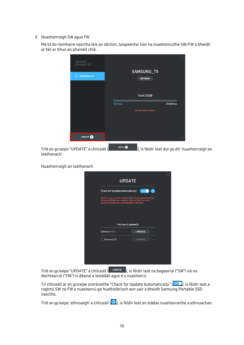E. Nuashonraigh SW agus FW

Má tá do ríomhaire nasctha leis an idirlíon, taispeánfar líon na nuashonruithe SW/FW a bheidh ar fáil ar bhun an phainéil chlé.

| SAMSUNG<br><b>PORTABLE SSD</b>                         |                                  |                                               |
|--------------------------------------------------------|----------------------------------|-----------------------------------------------|
|                                                        | SAMSUNG_T5                       |                                               |
| 6 SAMSUNG_T5                                           | <b>SETTINGS</b>                  |                                               |
|                                                        |                                  |                                               |
|                                                        | Total 232GB                      |                                               |
|                                                        | <b>OGB Used</b>                  | 232GB Free                                    |
|                                                        | <b>Security Mode is Enabled.</b> |                                               |
|                                                        |                                  |                                               |
|                                                        |                                  |                                               |
|                                                        |                                  |                                               |
| <b>UPDATE</b>                                          |                                  | $\odot$                                       |
| Tríd an gcnaipe "UPDATE" a chliceáil (<br>leathanach'. | UPDATE <sup>2</sup>              | ), is féidir leat dul go dtí 'nuashonraigh an |

Nuashonraigh an leathanach

| <b>UPDATE</b>                                                                                                                                                                   |  |
|---------------------------------------------------------------------------------------------------------------------------------------------------------------------------------|--|
| ON<br>$\circ$<br><b>Check for Updates Automatically</b>                                                                                                                         |  |
| NOTICE: Close any other software that is accessing the Samsung<br>Portable SSD before proceeding. Disconnecting the device<br>during the update may cause damage to the device. |  |
| You have 2 update(s)                                                                                                                                                            |  |
| Software 1.5.1<br><b>UPDATE</b>                                                                                                                                                 |  |
| <b>A</b> Samsung T5<br><b>UPDATE</b>                                                                                                                                            |  |
|                                                                                                                                                                                 |  |
|                                                                                                                                                                                 |  |

Tríd an gcnaipe "UPDATE" a chliceáil (UPDATE ), is féidir leat na bogearraí ("SW") nó na dochtearraí ("FW") is déanaí a íoslódáil agus é a nuashonrú.

Trí chliceáil ar an gcnaipe scoránaithe "Check for Update Automatically" (����), is féidir leat a roghnú SW nó FW a nuashonrú go huathoibríoch aon uair a bheidh Samsung Portable SSD nasctha.

Tríd an gcnaipe 'athnuaigh' a chliceáil ( $\bigcirc$ ), is féidir leat an stádas nuashonraithe a athnuachan.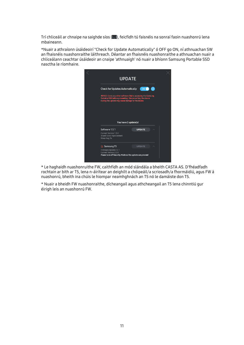Trí chliceáil ar chnaipe na saighde síos (VI), feicfidh tú faisnéis na sonraí faoin nuashonrú lena mbaineann.

\*Nuair a athraíonn úsáideoirí "Check for Update Automatically" ó OFF go ON, ní athnuachan SW an fhaisnéis nuashonraithe láithreach. Déantar an fhaisnéis nuashonraithe a athnuachan nuair a chliceálann ceachtar úsáideoir an cnaipe 'athnuaigh' nó nuair a bhíonn Samsung Portable SSD nasctha le ríomhaire.



\* Le haghaidh nuashonruithe FW, caithfidh an mód slándála a bheith CASTA AS. D'fhéadfadh rochtain ar bith ar T5, lena n-áirítear an deighilt a chóipeáil/a scriosadh/a fhormáidiú, agus FW á nuashonrú, bheith ina chúis le hiompar neamhghnách an T5 nó le damáiste don T5.

\* Nuair a bheidh FW nuashonraithe, dícheangail agus athcheangail an T5 lena chinntiú gur éirigh leis an nuashonrú FW.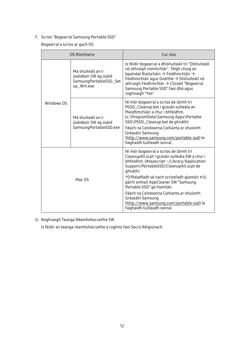F. Scrios "Bogearraí Samsung Portable SSD"

Bogearraí a scrios ar gach OS

| OS Ríomhaire                                              |                                                                                     | Cur síos                                                                                                                                                                                                                                                                                                                                                                                                                                                    |
|-----------------------------------------------------------|-------------------------------------------------------------------------------------|-------------------------------------------------------------------------------------------------------------------------------------------------------------------------------------------------------------------------------------------------------------------------------------------------------------------------------------------------------------------------------------------------------------------------------------------------------------|
|                                                           | Má shuiteáil an t-<br>úsáideoir SW ag úsáid<br>SamsungPortableSSD_Set<br>up_Win.exe | Is féidir bogearraí a dhíshuiteáil trí "Díshuiteáil<br>nó athraigh ríomhchlár". Téigh chuig an<br>bpainéal Rialúcháin $\rightarrow$ Feidhmchláir $\rightarrow$<br>Feidhmchláir agus Gnéithe $\rightarrow$ Díshuiteáil nó<br>$athraigh Feidhmchlár \rightarrow Cliceáil "Bogearraí$<br>Samsung Portable SSD" faoi dhó agus<br>roghnaigh "Yes"                                                                                                                |
| Windows OS<br>Má shuiteáil an t-<br>úsáideoir SW ag úsáid | SamsungPortableSSD.exe                                                              | Ní mór bogearraí a scrios de láimh trí<br>PSSD_Cleanup.bat i gcosán suiteála an<br>fheidhmchláir a chur i bhfeidhm.<br>(c:\ProgramData\Samsung Apps\Portable<br>SSD\PSSD_Cleanup.bat de ghnáth)<br>Féach na Ceisteanna Coitianta ar shuíomh<br>Gréasáin Samsung<br>(http://www.samsung.com/portable-ssd) le<br>haghaidh tuilleadh sonraí.                                                                                                                   |
| Mac OS                                                    |                                                                                     | Ní mór bogearraí a scrios de láimh trí<br>CleanupAll.scpt i gcosán suiteála SW a chur i<br>bhfeidhm. (#osascript ~/Library/Application<br>Support/PortableSSD/CleanupAll.scpt de<br>qhnáth)<br>*D'fhéadfadh sé nach scriosfadh glantóir tríú<br>páirtí amhail AppCleaner SW "Samsung<br>Portable SSD" go hiomlán.<br>Féach na Ceisteanna Coitianta ar shuíomh<br>Gréasáin Samsung<br>(http://www.samsung.com/portable-ssd) le<br>haghaidh tuilleadh sonraí. |

G. Roghnaigh Teanga Réamhshocraithe SW

Is féidir an teanga réamhshocraithe a roghnú faoi Socrú Réigiúnach.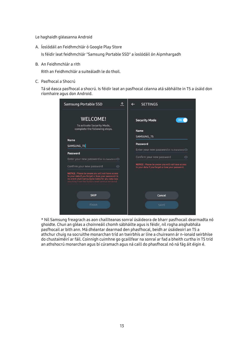Le haghaidh gléasanna Android

A. Íoslódáil an Feidhmchlár ó Google Play Store

Is féidir leat feidhmchlár "Samsung Portable SSD" a íoslódáil ón Aipmhargadh

B. An Feidhmchlár a rith

Rith an Feidhmchlár a suiteáladh le do thoil.

C. Pasfhocal a Shocrú

Tá sé éasca pasfhocal a shocrú. Is féidir leat an pasfhocal céanna atá sábháilte in T5 a úsáid don ríomhaire agus don Android.

| <b>Samsung Portable SSD</b>                                                                                                                                                                                         | ↥ | <b>SETTINGS</b>                                                                                        |
|---------------------------------------------------------------------------------------------------------------------------------------------------------------------------------------------------------------------|---|--------------------------------------------------------------------------------------------------------|
| <b>WELCOME!</b><br>To activate Security Mode,<br>complete the following steps.                                                                                                                                      |   | <b>Security Mode</b><br>ON<br><b>Name</b>                                                              |
|                                                                                                                                                                                                                     |   | SAMSUNG_T5                                                                                             |
| <b>Name</b><br>SAMSUNG_T5                                                                                                                                                                                           |   | <b>Password</b>                                                                                        |
|                                                                                                                                                                                                                     |   | Enter your new password (4-16 characters) O                                                            |
| <b>Password</b><br>Enter your new password (4-16 characters) O                                                                                                                                                      |   | Confirm your new password<br>$\odot$                                                                   |
| Confirm your new password<br>$\odot$                                                                                                                                                                                |   | NOTICE : Please be aware you will not have access<br>to your data if you forget or lose your password. |
| NOTICE: Please be aware you will not have access<br>to your data if you forget or lose your password. In<br>no event shall Samsung be liable for any data loss<br>resulting from the factory reset service rendered |   |                                                                                                        |
| <b>SKIP</b>                                                                                                                                                                                                         |   | Cancel                                                                                                 |
| Finish                                                                                                                                                                                                              |   | <b>SAVE</b>                                                                                            |
|                                                                                                                                                                                                                     |   |                                                                                                        |

\* Níl Samsung freagrach as aon chaillteanas sonraí úsáideora de bharr pasfhocail dearmadta nó ghoidte. Chun an gléas a choinneáil chomh sábháilte agus is féidir, níl rogha aisghabhála pasfhocail ar bith ann. Má dhéantar dearmad den phasfhocal, beidh ar úsáideoirí an T5 a athchur chuig na socruithe monarchan tríd an tseirbhís ar líne a chuireann ár n-ionaid seirbhíse do chustaiméirí ar fáil. Coinnigh cuimhne go gcaillfear na sonraí ar fad a bheith curtha in T5 tríd an athshocrú monarchan agus bí cúramach agus ná caill do phasfhocal nó ná fág áit éigin é.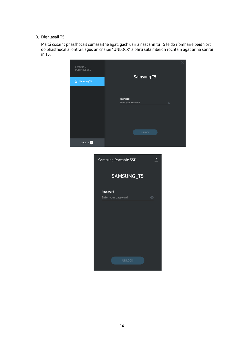#### D. Díghlasáil T5

Má tá cosaint phasfhocail cumasaithe agat, gach uair a nascann tú T5 le do ríomhaire beidh ort do phasfhocal a iontráil agus an cnaipe "UNLOCK" a bhrú sula mbeidh rochtain agat ar na sonraí in T5.

| SAMSUNG<br>PORTABLE SSD |                                 |         |
|-------------------------|---------------------------------|---------|
| <b>A</b> Samsung T5     | Samsung T5                      |         |
|                         | Password<br>Enter your password | $\odot$ |
|                         | <b>UNLOCK</b>                   |         |
| UPDATE <sup>O</sup>     |                                 |         |
|                         | Samsung Portable SSD<br>尐       |         |
|                         | SAMSUNG_T5                      |         |
|                         | <b>Password</b>                 |         |
|                         | Enter your password<br>$\odot$  |         |
|                         |                                 |         |
|                         |                                 |         |
|                         |                                 |         |
|                         |                                 |         |
|                         |                                 |         |
|                         | <b>UNLOCK</b>                   |         |
|                         |                                 |         |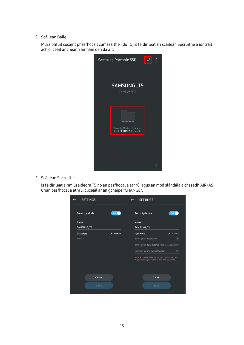E. Scáileán Baile

Mura bhfuil cosaint phasfhocail cumasaithe i do T5, is féidir leat an scáileán Socruithe a iontráil ach cliceáil ar cheann amháin den dá áit.

| <b>Samsung Portable SSD</b>                            |  |
|--------------------------------------------------------|--|
| SAMSUNG_T5<br>Total 232GB                              |  |
| Security Mode is Disabled.<br>Click SETTINGS to enable |  |
|                                                        |  |
|                                                        |  |

F. Scáileán Socruithe

Is féidir leat ainm úsáideora T5 nó an pasfhocal a athrú, agus an mód slándála a chasadh AIR/AS Chun pasfhocal a athrú, cliceáil ar an gcnaipe "CHANGE".

| <b>SETTINGS</b>                         | <b>SETTINGS</b><br>$\leftarrow$                                                                        |
|-----------------------------------------|--------------------------------------------------------------------------------------------------------|
| ON <sub>0</sub><br><b>Security Mode</b> | <b>Security Mode</b><br>ON                                                                             |
| <b>Name</b>                             | <b>Name</b>                                                                                            |
| SAMSUNG_T5                              | SAMSUNG_T5                                                                                             |
| Password<br>$\triangle$ CHANGE          | Password<br>$\triangle$ CHANGE                                                                         |
|                                         | Enter your password<br>$\odot$                                                                         |
|                                         | Enter your new password (4-16 characters) <a></a>                                                      |
|                                         | Confirm your new password<br>$\odot$                                                                   |
|                                         | NOTICE : Please be aware you will not have access<br>to your data if you forget or lose your password. |
| Cancel                                  | Cancel                                                                                                 |
| <b>SAVE</b>                             | <b>SAVE</b>                                                                                            |
|                                         |                                                                                                        |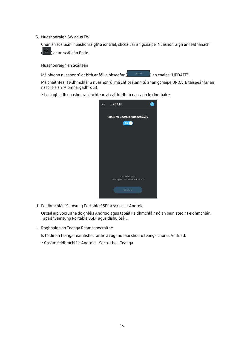G. Nuashonraigh SW agus FW

Chun an scáileán 'nuashonraigh' a iontráil, cliceáil ar an gcnaipe 'Nuashonraigh an leathanach'



Nuashonraigh an Scáileán

Má bhíonn nuashonrú ar bith ar fáil aibhseofar (**Chamadara Sainte an Chaipe "UPDATE".** 

Má chaithfear feidhmchlár a nuashonrú, má chliceálann tú ar an gcnaipe UPDATE taispeánfar an nasc leis an 'Aipmhargadh' duit.

\* Le haghaidh nuashonraí dochtearraí caithfidh tú nascadh le ríomhaire.

| <b>UPDATE</b>                                                 |  |
|---------------------------------------------------------------|--|
| <b>Check for Updates Automatically</b><br>ON                  |  |
|                                                               |  |
| <b>Current Version</b><br>Samsung Portable SSD Software 1.5.0 |  |
| <b>UPDATE</b>                                                 |  |

H. Feidhmchlár "Samsung Portable SSD" a scrios ar Android

Oscail aip Socruithe do ghléis Android agus tapáil Feidhmchláir nó an bainisteoir Feidhmchlár. Tapáil "Samsung Portable SSD" agus díshuiteáil.

I. Roghnaigh an Teanga Réamhshocraithe

Is féidir an teanga réamhshocraithe a roghnú faoi shocrú teanga chóras Android.

\* Cosán: feidhmchláir Android - Socruithe - Teanga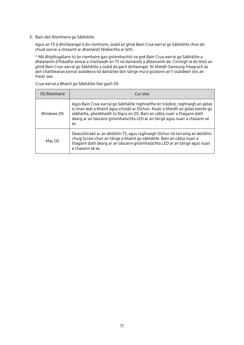#### 3. Bain den Ríomhaire go Sábháilte

Agus an T5 á dhícheangal ó do ríomhaire, úsáid an ghné Bain Crua-earraí go Sábháilte chun do chuid sonraí a chosaint ar dhamáistí féideartha ar bith.

\* Má dhíphlugálann tú ón ríomhaire gan gníomhachtú na gné Bain Crua-earraí go Sábháilte a dhéanamh d'fhéadfaí sonraí a chailleadh ón T5 nó damáiste a dhéanamh de. Cinntigh le do thoil an ghné Bain Crua-earraí go Sábháilte a úsáid do gach dícheangal. Ní bheidh Samsung freagrach as aon chaillteanas sonraí úsáideora ná damáiste don táirge mura gcloíonn an t-úsáideoir leis an treoir seo.

Crua-earraí a Bhaint go Sábháilte faoi gach OS

| OS Ríomhaire | Cur síos                                                                                                                                                                                                                                                                                                                             |
|--------------|--------------------------------------------------------------------------------------------------------------------------------------------------------------------------------------------------------------------------------------------------------------------------------------------------------------------------------------|
| Windows OS   | Agus Bain Crua-earraí go Sábháilte roghnaithe ón tráidire, roghnaigh an gléas<br>is mian leat a bhaint agus cliceáil ar Díchuir. Nuair a bheidh an gléas bainte go<br>sábháilte, gheobhaidh tú fógra ón OS. Bain an cábla nuair a thagann dath<br>dearg ar an táscaire gníomhaíochta LED ar an táirge agus nuair a chasann sé<br>as. |
| Mac OS       | Deaschliceáil ar an deilbhín T5, agus roghnaigh Díchur nó tarraing an deilbhín<br>chuig Scrios chun an táirge a bhaint go sábháilte. Bain an cábla nuair a<br>thagann dath dearg ar an táscaire gníomhaíochta LED ar an táirge agus nuair<br>a chasann sé as.                                                                        |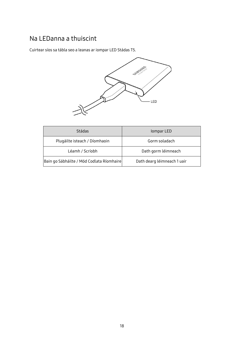#### <span id="page-20-0"></span>Na LEDanna a thuiscint

Cuirtear síos sa tábla seo a leanas ar iompar LED Stádas T5.



| Stádas                                    | lompar LED                  |
|-------------------------------------------|-----------------------------|
| Plugáilte isteach / Díomhaoin             | Gorm soladach               |
| Léamh / Scríobh                           | Dath gorm léimneach         |
| Bain go Sábháilte / Mód Codlata Ríomhaire | Dath dearg léimneach 1 uair |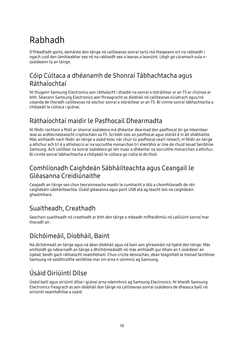# <span id="page-21-0"></span>Rabhadh

D'fhéadfadh gortú, damáiste don táirge nó caillteanas sonraí tarlú má theipeann ort na rabhaidh i ngach cuid den lámhleabhar seo nó na rabhaidh seo a leanas a leanúint. Léigh go cúramach sula núsáideann tú an táirge.

#### <span id="page-21-1"></span>Cóip Cúltaca a dhéanamh de Shonraí Tábhachtacha agus Ráthaíochtaí

Ní thugann Samsung Electronics aon ráthaíocht i dtaobh na sonraí a stóráiltear ar an T5 ar chúinse ar bith. Séanann Samsung Electronics aon fhreagracht as díobháil nó caillteanas síciatrach agus/nó colanda de thoradh caillteanas nó aischur sonraí a stóráiltear ar an T5. Bí cinnte sonraí tábhachtacha a chóipeáil le cúltaca i gcónaí.

#### <span id="page-21-2"></span>Ráthaíochtaí maidir le Pasfhocail Dhearmadta

Ní féidir rochtain a fháil ar shonraí úsáideora má dhéantar dearmad den pasfhocal óir go mbaintear leas as ardteicneolaíocht criptiúcháin sa T5. Scríobh síos an pasfhocal agus stóráil é in áit shábháilte. Más amhlaidh nach féidir an táirge a úsáid toisc nár chuir tú pasfhocal ceart isteach, ní féidir an táirge a athchur ach trí é a athshocrú ar na socruithe monarchan trí sheirbhís ar líne de chuid Ionad Seirbhíse Samsung. Ach caillfear na sonraí úsáideora go léir nuair a dhéantar na socruithe monarchan a athchur. Bí cinnte sonraí tábhachtacha a chóipeáil le cúltaca go rialta le do thoil.

#### <span id="page-21-3"></span>Comhlíonadh Caighdeán Sábháilteachta agus Ceangail le Gléasanna Creidiúnaithe

Ceapadh an táirge seo chun teorainneacha maidir le cumhacht a ídiú a chomhlíonadh de réir caighdeáin sábháilteachta. Úsáid gléasanna agus poirt USB atá ag teacht leis na caighdeáin ghaolmhara.

## <span id="page-21-4"></span>Suaitheadh, Creathadh

Seachain suaitheadh nó creathadh ar bith den táirge a mbeadh mífheidhmiú nó cailliúint sonraí mar thoradh air.

### <span id="page-21-5"></span>Díchóimeáil, Díobháil, Baint

Ná díchóimeáil an táirge agus ná déan díobháil agus ná bain aon ghreamáin ná lipéid den táirge. Más amhlaidh go ndearnadh an táirge a dhíchóimeáladh nó más amhlaidh gur bhain an t-úsáideoir an lipéad, beidh gach ráthaíocht neamhbhailí. Chun críche deisiúchán, déan teagmháil le hIonad Seirbhíse Samsung nó soláthraithe seirbhíse mar sin arna n-ainmniú ag Samsung.

## <span id="page-21-6"></span>Úsáid Oiriúintí Dílse

Úsáid baill agus oiriúintí dílse i gcónaí arna ndeimhniú ag Samsung Electronics. Ní bheidh Samsung Electronics freagrach as aon díobháil don táirge ná caillteanas sonraí úsáideora de dheasca baill nó oiriúintí neamhdhílse a úsáid.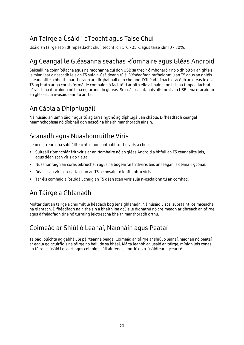## <span id="page-22-0"></span>An Táirge a Úsáid i dTeocht agus Taise Chuí

<span id="page-22-1"></span>Úsáid an táirge seo i dtimpeallacht chuí: teocht idir 5°C - 35°C agus taise idir 10 - 80%.

### Ag Ceangal le Gléasanna seachas Ríomhaire agus Gléas Android

Seiceáil na coinníollacha agus na modhanna cuí don USB sa treoir ó mhonaróir nó ó dhíoltóir an ghléis is mian leat a nascadh leis an T5 sula n-úsáideann tú é. D'fhéadfadh mífheidhmiú an T5 agus an ghléis cheangailte a bheith mar thoradh ar idirghabháil gan choinne. D'fhéadfaí nach dtacódh an gléas le do T5 ag brath ar na córais formáide comhaid nó fachtóirí ar bith eile a bhaineann leis na timpeallachtaí córais lena dtacaíonn nó lena nglacann do ghléas. Seiceáil riachtanais ollstórais an USB lena dtacaíonn an gléas sula n-úsáideann tú an T5.

#### <span id="page-22-2"></span>An Cábla a Dhíphlugáil

Ná húsáid an lámh láidir agus tú ag tarraingt nó ag díphlugáil an chábla. D'fhéadfadh ceangal neamhchobhsaí nó díobháil don nascóir a bheith mar thoradh air sin.

### <span id="page-22-3"></span>Scanadh agus Nuashonruithe Víris

Lean na treoracha sábháilteachta chun ionfhabhtuithe víris a chosc.

- Suiteáil ríomhchlár frithvíris ar an ríomhaire nó an gléas Android a bhfuil an T5 ceangailte leis, agus déan scan víris go rialta.
- Nuashonraigh an córas oibriúcháin agus na bogearraí frithvíris leis an leagan is déanaí i gcónaí.
- Déan scan víris go rialta chun an T5 a chosaint ó ionfhabhtú víris.
- Tar éis comhaid a íoslódáil chuig an T5 déan scan víris sula n-osclaíonn tú an comhad.

#### <span id="page-22-4"></span>An Táirge a Ghlanadh

Moltar duit an táirge a chuimilt le héadach bog lena ghlanadh. Ná húsáid uisce, substaintí ceimiceacha ná glantach. D'fhéadfadh na nithe sin a bheith ina gcúis le dídhathú nó creimeadh ar dhreach an táirge, agus d'fhéadfadh tine nó turraing leictreacha bheith mar thoradh orthu.

#### <span id="page-22-5"></span>Coimeád ar Shiúl ó Leanaí, Naíonáin agus Peataí

Tá baol plúchta ag gabháil le páirteanna beaga. Coimeád an táirge ar shiúl ó leanaí, naíonán nó peataí ar eagla go gcuirfidís na táirge nó baill de sa bhéal. Má tá leanbh ag úsáid an táirge, mínigh leis conas an táirge a úsáid i gceart agus coinnigh súil air lena chinntiú go n-úsáidtear i gceart é.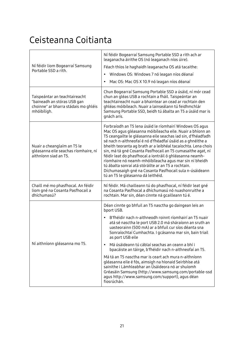## <span id="page-23-0"></span>Ceisteanna Coitianta

| Ní féidir liom Bogearraí Samsung<br>Portable SSD a rith.                                                            | Ní féidir Bogearraí Samsung Portable SSD a rith ach ar<br>leaganacha áirithe OS (nó leaganach níos úire).<br>Féach thíos le haghaidh leaganacha OS atá tacaithe:<br>Windows OS: Windows 7 nó leagan níos déanaí<br>$\bullet$<br>Mac OS: Mac OS X 10.9 nó leagan níos déanaí<br>$\bullet$                                                                                                                                                                                                                                                                                                                                                                                                                                                                                      |  |  |  |
|---------------------------------------------------------------------------------------------------------------------|-------------------------------------------------------------------------------------------------------------------------------------------------------------------------------------------------------------------------------------------------------------------------------------------------------------------------------------------------------------------------------------------------------------------------------------------------------------------------------------------------------------------------------------------------------------------------------------------------------------------------------------------------------------------------------------------------------------------------------------------------------------------------------|--|--|--|
| Taispeántar an teachtaireacht<br>"baineadh an stóras USB gan<br>choinne" ar bharra stádais mo ghléis<br>mhóibíligh. | Chun Bogearraí Samsung Portable SSD a úsáid, ní mór cead<br>chun an gléas USB a rochtain a fháil. Taispeántar an<br>teachtaireacht nuair a bhaintear an cead ar rochtain den<br>ghléas móibíleach. Nuair a lainseálann tú feidhmchlár<br>Samsung Portable SSD, beidh tú ábalta an T5 a úsáid mar is<br>gnách arís.                                                                                                                                                                                                                                                                                                                                                                                                                                                            |  |  |  |
| Nuair a cheanglaím an T5 le<br>gléasanna eile seachas ríomhaire, ní<br>aithníonn siad an T5.                        | Forbraíodh an T5 lena úsáid le ríomhairí Windows OS agus<br>Mac OS agus gléasanna móibíleacha eile. Nuair a bhíonn an<br>T5 ceangailte le gléasanna eile seachas iad sin, d'fhéadfadh<br>sé nach n-aithneofaí é nó d'fhéadfaí úsáid as a ghnéithe a<br>bheith teoranta ag brath ar a leibhéal tacaíochta. Lena chois<br>sin, má tá gné Cosanta Pasfhocail an T5 cumasaithe agat, ní<br>féidir leat do phasfhocal a iontráil ó ghléasanna neamh-<br>ríomhaire nó neamh-mhóibíleacha agus mar sin ní bheidh<br>tú ábalta sonraí atá stóráilte ar an T5 a rochtain.<br>Díchumasaigh gné na Cosanta Pasfhocail sula n-úsáideann<br>tú an T5 le gléasanna dá leithéid.                                                                                                             |  |  |  |
| Chaill mé mo phasfhocal. An féidir<br>liom gné na Cosanta Pasfhocail a<br>dhíchumasú?                               | Ní féidir. Má chailleann tú do phasfhocal, ní féidir leat gné<br>na Cosanta Pasfhocal a dhíchumasú nó nuashonruithe a<br>rochtain. Mar sin, déan cinnte ná gcailleann tú é.                                                                                                                                                                                                                                                                                                                                                                                                                                                                                                                                                                                                   |  |  |  |
| Ní aithníonn gléasanna mo T5.                                                                                       | Déan cinnte go bhfuil an T5 nasctha go daingean leis an<br>bport USB.<br>B'fhéidir nach n-aithneodh roinnt ríomhairí an T5 nuair<br>$\bullet$<br>atá sé nasctha le port USB 2.0 má sháraíonn an sruth an<br>uasteorainn (500 mA) ar a bhfuil cur síos déanta sna<br>Sonraíochtaí Cumhachta. I gcásanna mar sin, bain triail<br>as port USB eile<br>Má úsáideann tú cáblaí seachas an ceann a bhí i<br>$\bullet$<br>bpacáiste an táirge, b'fhéidir nach n-aithneofaí an T5.<br>Má tá an T5 nasctha mar is ceart ach mura n-aithníonn<br>gléasanna eile é fós, aimsigh na hIonaid Seirbhíse atá<br>sainithe i Lámhleabhar an Úsáideora nó ar shuíomh<br>Gréasáin Samsung (http://www.samsung.com/portable-ssd<br>agus http://www.samsung.com/support), agus déan<br>fiosrúchán. |  |  |  |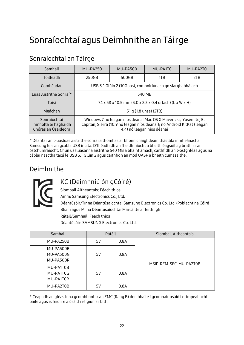## <span id="page-24-0"></span>Sonraíochtaí agus Deimhnithe an Táirge

| Samhail                                                     | MU-PA250                                                                                                                                                                  | MU-PA500 | MU-PA1T0 | MU-PA2T0 |
|-------------------------------------------------------------|---------------------------------------------------------------------------------------------------------------------------------------------------------------------------|----------|----------|----------|
| Toilleadh                                                   | 250GB                                                                                                                                                                     | 500GB    | 1TB      | 2TB      |
| Comhéadan                                                   | USB 3.1 Glúin 2 (10Gbps), comhoiriúnach go siarghabhálach                                                                                                                 |          |          |          |
| Luas Aistrithe Sonraí*                                      | 540 MB                                                                                                                                                                    |          |          |          |
| Toisí                                                       | 74 x 58 x 10.5 mm (3.0 x 2.3 x 0.4 orlach) (L x W x H)                                                                                                                    |          |          |          |
| Meáchan                                                     | 51 g (1.8 unsa) (2TB)                                                                                                                                                     |          |          |          |
| Sonraíochtaí<br>Inmholta le haghaidh<br>Chóras an Úsáideora | Windows 7 nó leagan níos déanaí Mac OS X Mavericks, Yosemite, El<br>Capitan, Sierra (10.9 nó leagan níos déanaí); nó Android KitKat (leagan<br>4.4) nó leagan níos déanaí |          |          |          |

#### <span id="page-24-1"></span>Sonraíochtaí an Táirge

\* Déantar an t-uasluas aistrithe sonraí a thomhas ar bhonn chaighdeáin thástála inmheánacha Samsung leis an gcábla USB iniata. D'fhéadfadh an fheidhmíocht a bheith éagsúil ag brath ar an óstchumraíocht. Chun uasluasanna aistrithe 540 MB a bhaint amach, caithfidh an t-óstghléas agus na cáblaí nasctha tacú le USB 3.1 Glúin 2 agus caithfidh an mód UASP a bheith cumasaithe.

#### <span id="page-24-2"></span>Deimhnithe



#### <span id="page-24-3"></span>KC (Deimhniú ón gCóiré)

Siombail Aitheantais: Féach thíos

Ainm: Samsung Electronics Co., Ltd.

Déantúsóir/Tír na Déantúsaíochta: Samsung Electronics Co. Ltd /Poblacht na Cóiré Bliain agus Mí na Déantúsaíochta: Marcáilte ar leithligh Rátáil/Samhail: Féach thíos Déantúsóir: SAMSUNG Electronics Co. Ltd.

| Samhail   | Rátáil |      | Siombail Aitheantais   |
|-----------|--------|------|------------------------|
| MU-PA250B | 5V     | 0.8A |                        |
| MU-PA500B |        |      |                        |
| MU-PA500G | 5V     | 0.8A |                        |
| MU-PA500R |        |      | MSIP-REM-SEC-MU-PA2T0B |
| MU-PA1T0B |        |      |                        |
| MU-PA1T0G | 5V     | 0.8A |                        |
| MU-PA1T0R |        |      |                        |
| MU-PA2T0B | 5٧     | 0.8A |                        |

\* Ceapadh an gléas lena gcomhlíontar an EMC (Rang B) don bhaile i gcomhair úsáid i dtimpeallacht baile agus is féidir é a úsáid i réigiún ar bith.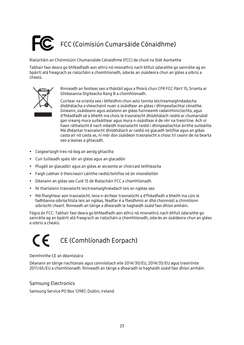# <span id="page-25-0"></span>FCC (Coimisiún Cumarsáide Cónaidhme)

Rialúcháin an Choimisiúin Chumarsáide Cónaidhme (FCC) de chuid na Stát Aontaithe

Tabhair faoi deara go bhféadfadh aon athrú nó mionathrú nach bhfuil údaraithe go sainráite ag an bpáirtí atá freagrach as rialúcháin a chomhlíonadh, údarás an úsáideora chun an gléas a oibriú a chealú.



Rinneadh an feisteas seo a thástáil agus a fhíorú chun CFR FCC Páirt 15, Srianta ar Ghléasanna Digiteacha Rang B a chomhlíonadh.

Cuirtear na srianta seo i bhfeidhm chun astú tonnta leictreamaighnéadacha díobhálacha a sheachaint nuair a úsáidtear an gléas i dtimpeallachtaí cónaithe. Gineann, úsáideann agus astaíonn an gléas fuinneamh radaimhinicíochta, agus d'fhéadfadh sé a bheith ina chúis le trasnaíocht dhíobhálach raidió ar chumarsáidí gan sreang mura suiteáiltear agus mura n-úsáidtear é de réir na treoirlíne. Ach ní haon ráthaíocht é nach mbeidh trasnaíocht raidió i dtimpeallachtaí áirithe suiteáilte. Má dhéantar trasnaíocht dhíobhálach ar raidió nó glacadh teilifíse agus an gléas casta air nó casta as, ní mór don úsáideoir trasnaíocht a chosc trí ceann de na bearta seo a leanas a ghlacadh.

- Coigeartaigh treo nó bog an aeróg ghlactha
- Cuir tuilleadh spáis idir an gléas agus an glacadóir
- Plugáil an glacadóir agus an gléas ar asraonta ar chiorcaid leithleacha
- Faigh cabhair ó theicneoirí cáilithe raidió/teilifíse nó ón miondíoltóir
- Déanann an gléas seo Cuid 15 de Rialacháin FCC a chomhlíonadh.
- Ní tharlaíonn trasnaíocht leictreamaighnéadach leis an ngléas seo
- Má fhaightear aon trasnaíocht, lena n-áirítear trasnaíocht a d'fhéadfadh a bheith ina cúis le fadhbanna oibríochtúla leis an ngléas, féadfar é a fheidhmiú ar dhá choinníoll a chinntíonn oibríocht cheart. Rinneadh an táirge a dhearadh le haghaidh úsáid faoi dhíon amháin.

Fógra ón FCC: Tabhair faoi deara go bhféadfadh aon athrú nó mionathrú nach bhfuil údaraithe go sainráite ag an bpáirtí atá freagrach as rialúcháin a chomhlíonadh, údarás an úsáideora chun an gléas a oibriú a chealú.

# <span id="page-25-1"></span>CE (Comhlíonadh Eorpach)

#### Deimhnithe CE an déantúsóra

Déanann an táirge riachtanais agus coinníollach eile 2014/30/EU, 2014/35/EU agus treoirlínte 2011/65/EU a chomhlíonadh. Rinneadh an táirge a dhearadh le haghaidh úsáid faoi dhíon amháin.

#### Samsung Electronics

Samsung Service PO Box 12987, Dublin, Ireland